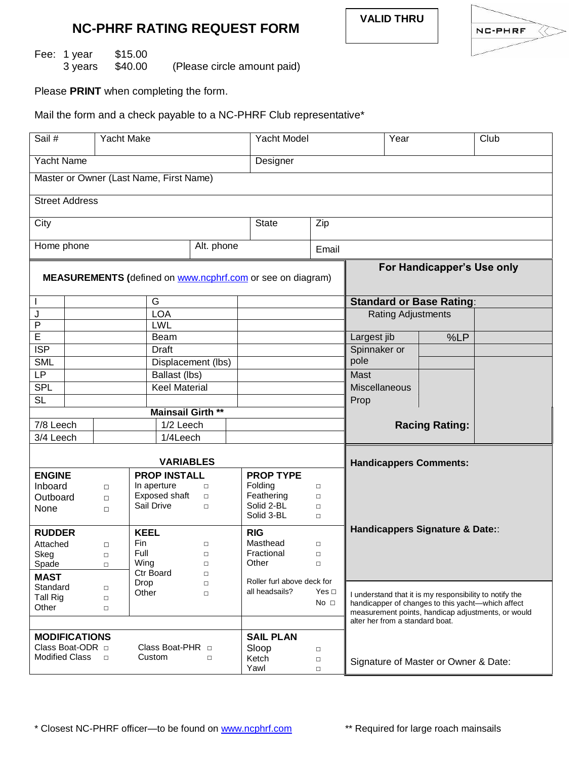

Fee: 1 year \$15.00<br>3 years \$40.00 (Please circle amount paid)

Please **PRINT** when completing the form.

Mail the form and a check payable to a NC-PHRF Club representative\*

| Sail #                                                     |                       | Yacht Make       |                          |                  | Yacht Model                |                                                                                       | Year                                                    |                                                   | Club |  |
|------------------------------------------------------------|-----------------------|------------------|--------------------------|------------------|----------------------------|---------------------------------------------------------------------------------------|---------------------------------------------------------|---------------------------------------------------|------|--|
| <b>Yacht Name</b>                                          |                       |                  |                          |                  | Designer                   |                                                                                       |                                                         |                                                   |      |  |
| Master or Owner (Last Name, First Name)                    |                       |                  |                          |                  |                            |                                                                                       |                                                         |                                                   |      |  |
| <b>Street Address</b>                                      |                       |                  |                          |                  |                            |                                                                                       |                                                         |                                                   |      |  |
| City                                                       |                       |                  |                          |                  | <b>State</b>               | Zip                                                                                   |                                                         |                                                   |      |  |
| Alt. phone<br>Home phone                                   |                       |                  |                          |                  |                            | Email                                                                                 |                                                         |                                                   |      |  |
| MEASUREMENTS (defined on www.ncphrf.com or see on diagram) |                       |                  |                          |                  |                            |                                                                                       | For Handicapper's Use only                              |                                                   |      |  |
| J.                                                         |                       | G                |                          |                  |                            | <b>Standard or Base Rating:</b>                                                       |                                                         |                                                   |      |  |
| J                                                          |                       | <b>LOA</b>       |                          |                  |                            |                                                                                       | <b>Rating Adjustments</b>                               |                                                   |      |  |
| $\mathsf{P}$                                               |                       |                  | LWL                      |                  |                            |                                                                                       |                                                         |                                                   |      |  |
| E                                                          |                       |                  | Beam                     |                  |                            |                                                                                       | Largest jib                                             | %LP                                               |      |  |
| <b>ISP</b>                                                 | Draft                 |                  |                          |                  |                            | Spinnaker or                                                                          |                                                         |                                                   |      |  |
| <b>SML</b>                                                 | Displacement (lbs)    |                  |                          |                  |                            | pole                                                                                  |                                                         |                                                   |      |  |
| LP                                                         | Ballast (lbs)         |                  |                          |                  |                            | Mast                                                                                  |                                                         |                                                   |      |  |
| <b>SPL</b>                                                 | <b>Keel Material</b>  |                  |                          |                  |                            | Miscellaneous                                                                         |                                                         |                                                   |      |  |
| <b>SL</b>                                                  |                       |                  |                          |                  |                            |                                                                                       | Prop                                                    |                                                   |      |  |
| <b>Mainsail Girth **</b>                                   |                       |                  |                          |                  |                            |                                                                                       |                                                         |                                                   |      |  |
| 7/8 Leech                                                  |                       | 1/2 Leech        |                          |                  |                            |                                                                                       | <b>Racing Rating:</b>                                   |                                                   |      |  |
| 3/4 Leech                                                  |                       | 1/4Leech         |                          |                  |                            |                                                                                       |                                                         |                                                   |      |  |
| <b>VARIABLES</b>                                           |                       |                  |                          |                  |                            |                                                                                       | <b>Handicappers Comments:</b>                           |                                                   |      |  |
| <b>ENGINE</b><br><b>PROP INSTALL</b>                       |                       |                  |                          |                  | <b>PROP TYPE</b>           |                                                                                       |                                                         |                                                   |      |  |
| Inboard                                                    |                       | $\Box$           | In aperture              | $\Box$           | Folding                    | $\Box$                                                                                |                                                         |                                                   |      |  |
| Outboard                                                   |                       | $\Box$           | Exposed shaft            | $\Box$           | Feathering                 | $\Box$                                                                                |                                                         |                                                   |      |  |
| None                                                       |                       | $\Box$           | Sail Drive               | $\Box$           | Solid 2-BL                 | $\Box$                                                                                |                                                         |                                                   |      |  |
|                                                            |                       |                  |                          |                  | Solid 3-BL                 | $\Box$                                                                                |                                                         |                                                   |      |  |
| <b>KEEL</b><br><b>RUDDER</b>                               |                       |                  |                          |                  | <b>RIG</b>                 |                                                                                       | Handicappers Signature & Date::                         |                                                   |      |  |
| Attached                                                   |                       | $\Box$           | Fin                      | $\Box$           | Masthead                   | $\Box$                                                                                |                                                         |                                                   |      |  |
| Skeg                                                       |                       | $\Box$           | Full                     | $\Box$           | Fractional                 | $\Box$                                                                                |                                                         |                                                   |      |  |
| Spade                                                      |                       | $\Box$           | Wing<br><b>Ctr Board</b> | $\Box$<br>$\Box$ | Other                      | $\Box$                                                                                |                                                         |                                                   |      |  |
| <b>MAST</b><br>Standard                                    |                       |                  | Drop<br>$\Box$           |                  | Roller furl above deck for |                                                                                       |                                                         |                                                   |      |  |
| <b>Tall Rig</b>                                            |                       | $\Box$<br>$\Box$ | Other                    | $\Box$           | all headsails?             | Yes $\Box$                                                                            | I understand that it is my responsibility to notify the |                                                   |      |  |
| Other                                                      |                       | $\Box$           |                          |                  |                            | No <sub>1</sub>                                                                       |                                                         | handicapper of changes to this yacht-which affect |      |  |
|                                                            |                       |                  |                          |                  |                            | measurement points, handicap adjustments, or would<br>alter her from a standard boat. |                                                         |                                                   |      |  |
| <b>MODIFICATIONS</b><br><b>SAIL PLAN</b>                   |                       |                  |                          |                  |                            |                                                                                       |                                                         |                                                   |      |  |
|                                                            | Class Boat-ODR $\Box$ |                  | Class Boat-PHR $\Box$    |                  | Sloop<br>$\Box$            |                                                                                       |                                                         |                                                   |      |  |
| <b>Modified Class</b>                                      |                       | Custom<br>$\Box$ |                          | $\Box$           | Ketch                      | $\Box$                                                                                | Signature of Master or Owner & Date:                    |                                                   |      |  |
|                                                            |                       |                  |                          |                  | Yawl                       | $\Box$                                                                                |                                                         |                                                   |      |  |